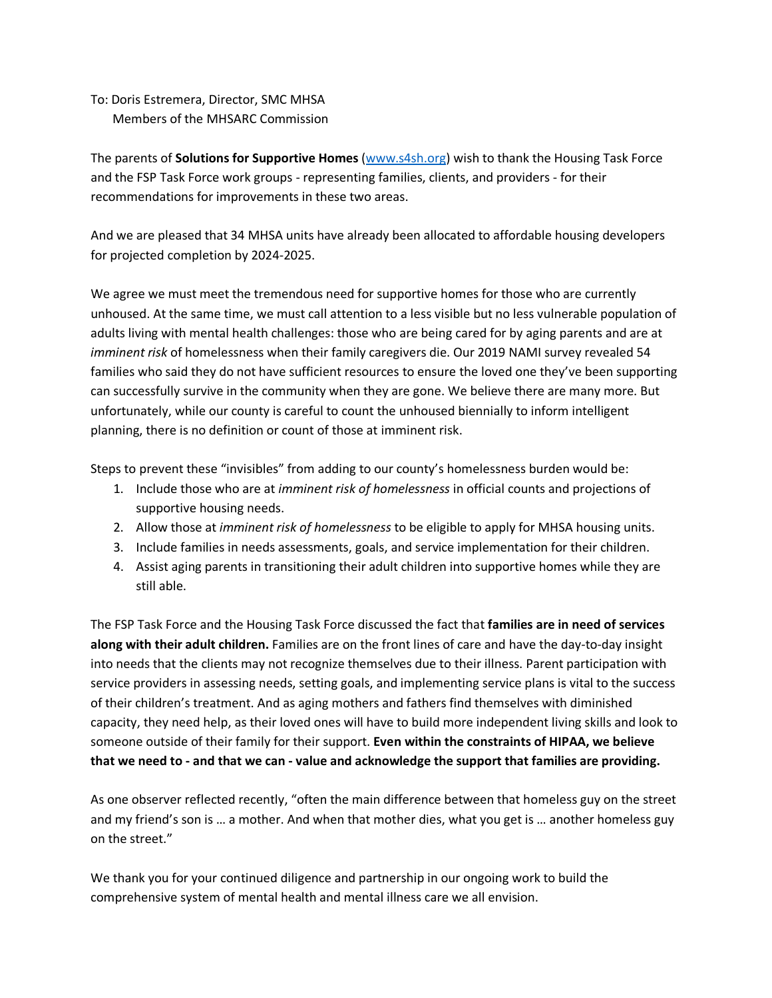To: Doris Estremera, Director, SMC MHSA Members of the MHSARC Commission

The parents of **Solutions for Supportive Homes** [\(www.s4sh.org\)](http://www.s4sh.org/) wish to thank the Housing Task Force and the FSP Task Force work groups - representing families, clients, and providers - for their recommendations for improvements in these two areas.

And we are pleased that 34 MHSA units have already been allocated to affordable housing developers for projected completion by 2024-2025.

We agree we must meet the tremendous need for supportive homes for those who are currently unhoused. At the same time, we must call attention to a less visible but no less vulnerable population of adults living with mental health challenges: those who are being cared for by aging parents and are at *imminent risk* of homelessness when their family caregivers die. Our 2019 NAMI survey revealed 54 families who said they do not have sufficient resources to ensure the loved one they've been supporting can successfully survive in the community when they are gone. We believe there are many more. But unfortunately, while our county is careful to count the unhoused biennially to inform intelligent planning, there is no definition or count of those at imminent risk.

Steps to prevent these "invisibles" from adding to our county's homelessness burden would be:

- 1. Include those who are at *imminent risk of homelessness* in official counts and projections of supportive housing needs.
- 2. Allow those at *imminent risk of homelessness* to be eligible to apply for MHSA housing units.
- 3. Include families in needs assessments, goals, and service implementation for their children.
- 4. Assist aging parents in transitioning their adult children into supportive homes while they are still able.

The FSP Task Force and the Housing Task Force discussed the fact that **families are in need of services along with their adult children.** Families are on the front lines of care and have the day-to-day insight into needs that the clients may not recognize themselves due to their illness. Parent participation with service providers in assessing needs, setting goals, and implementing service plans is vital to the success of their children's treatment. And as aging mothers and fathers find themselves with diminished capacity, they need help, as their loved ones will have to build more independent living skills and look to someone outside of their family for their support. **Even within the constraints of HIPAA, we believe that we need to - and that we can - value and acknowledge the support that families are providing.**

As one observer reflected recently, "often the main difference between that homeless guy on the street and my friend's son is … a mother. And when that mother dies, what you get is … another homeless guy on the street."

We thank you for your continued diligence and partnership in our ongoing work to build the comprehensive system of mental health and mental illness care we all envision.